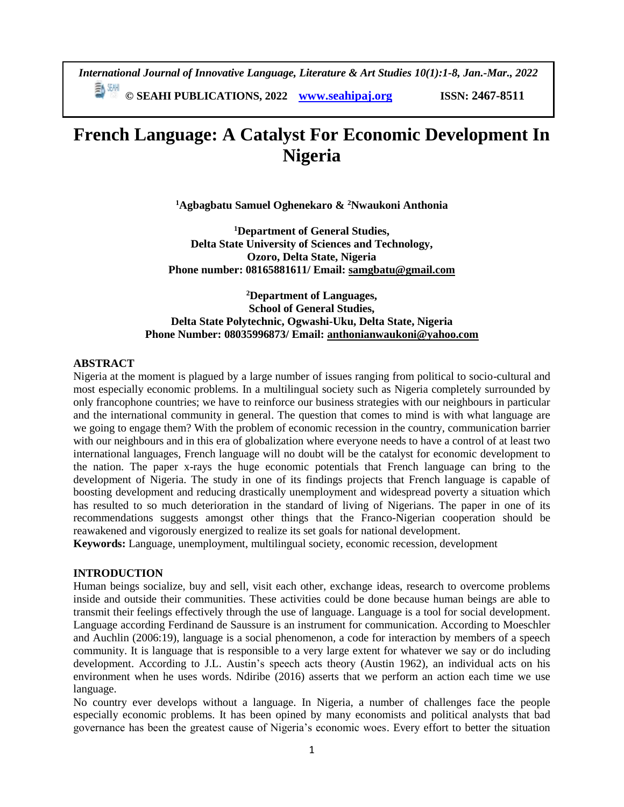*International Journal of Innovative Language, Literature & Art Studies 10(1):1-8, Jan.-Mar., 2022* **© SEAHI PUBLICATIONS, 2022 [www.seahipaj.org](http://www.seahipaj.org/) ISSN: 2467-8511**

# **French Language: A Catalyst For Economic Development In Nigeria**

**<sup>1</sup>Agbagbatu Samuel Oghenekaro & <sup>2</sup>Nwaukoni Anthonia**

**<sup>1</sup>Department of General Studies, Delta State University of Sciences and Technology, Ozoro, Delta State, Nigeria Phone number: 08165881611/ Email: [samgbatu@gmail.com](mailto:samgbatu@gmail.com)**

## **<sup>2</sup>Department of Languages, School of General Studies, Delta State Polytechnic, Ogwashi-Uku, Delta State, Nigeria Phone Number: 08035996873/ Email: [anthonianwaukoni@yahoo.com](mailto:anthonianwaukoni@yahoo.com)**

#### **ABSTRACT**

Nigeria at the moment is plagued by a large number of issues ranging from political to socio-cultural and most especially economic problems. In a multilingual society such as Nigeria completely surrounded by only francophone countries; we have to reinforce our business strategies with our neighbours in particular and the international community in general. The question that comes to mind is with what language are we going to engage them? With the problem of economic recession in the country, communication barrier with our neighbours and in this era of globalization where everyone needs to have a control of at least two international languages, French language will no doubt will be the catalyst for economic development to the nation. The paper x-rays the huge economic potentials that French language can bring to the development of Nigeria. The study in one of its findings projects that French language is capable of boosting development and reducing drastically unemployment and widespread poverty a situation which has resulted to so much deterioration in the standard of living of Nigerians. The paper in one of its recommendations suggests amongst other things that the Franco-Nigerian cooperation should be reawakened and vigorously energized to realize its set goals for national development.

**Keywords:** Language, unemployment, multilingual society, economic recession, development

#### **INTRODUCTION**

Human beings socialize, buy and sell, visit each other, exchange ideas, research to overcome problems inside and outside their communities. These activities could be done because human beings are able to transmit their feelings effectively through the use of language. Language is a tool for social development. Language according Ferdinand de Saussure is an instrument for communication. According to Moeschler and Auchlin (2006:19), language is a social phenomenon, a code for interaction by members of a speech community. It is language that is responsible to a very large extent for whatever we say or do including development. According to J.L. Austin's speech acts theory (Austin 1962), an individual acts on his environment when he uses words. Ndiribe (2016) asserts that we perform an action each time we use language.

No country ever develops without a language. In Nigeria, a number of challenges face the people especially economic problems. It has been opined by many economists and political analysts that bad governance has been the greatest cause of Nigeria's economic woes. Every effort to better the situation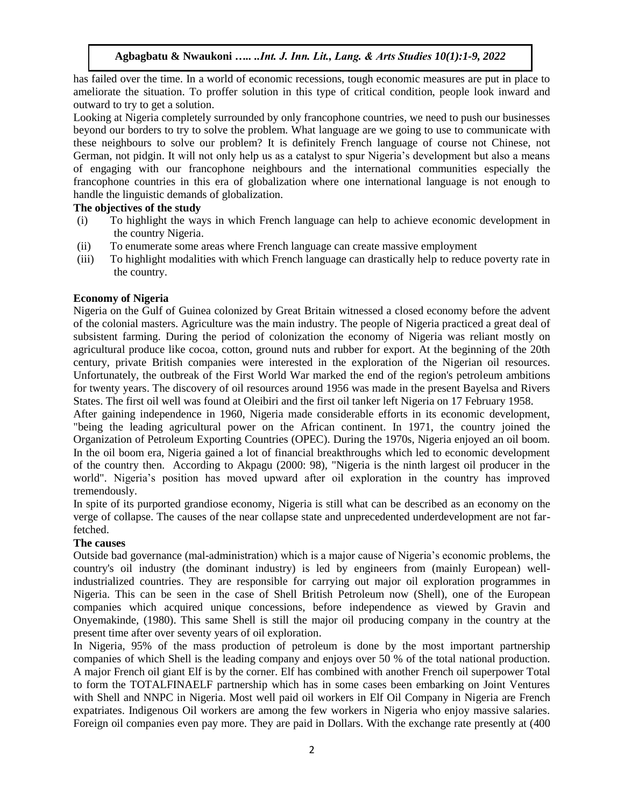has failed over the time. In a world of economic recessions, tough economic measures are put in place to ameliorate the situation. To proffer solution in this type of critical condition, people look inward and outward to try to get a solution.

Looking at Nigeria completely surrounded by only francophone countries, we need to push our businesses beyond our borders to try to solve the problem. What language are we going to use to communicate with these neighbours to solve our problem? It is definitely French language of course not Chinese, not German, not pidgin. It will not only help us as a catalyst to spur Nigeria's development but also a means of engaging with our francophone neighbours and the international communities especially the francophone countries in this era of globalization where one international language is not enough to handle the linguistic demands of globalization.

## **The objectives of the study**

- (i) To highlight the ways in which French language can help to achieve economic development in the country Nigeria.
- (ii) To enumerate some areas where French language can create massive employment
- (iii) To highlight modalities with which French language can drastically help to reduce poverty rate in the country.

## **Economy of Nigeria**

Nigeria on the Gulf of Guinea colonized by Great Britain witnessed a closed economy before the advent of the colonial masters. Agriculture was the main industry. The people of Nigeria practiced a great deal of subsistent farming. During the period of colonization the economy of Nigeria was reliant mostly on agricultural produce like cocoa, cotton, ground nuts and rubber for export. At the beginning of the 20th century, private British companies were interested in the exploration of the Nigerian oil resources. Unfortunately, the outbreak of the First World War marked the end of the region's petroleum ambitions for twenty years. The discovery of oil resources around 1956 was made in the present Bayelsa and Rivers States. The first oil well was found at Oleibiri and the first oil tanker left Nigeria on 17 February 1958.

After gaining independence in 1960, Nigeria made considerable efforts in its economic development, "being the leading agricultural power on the African continent. In 1971, the country joined the Organization of Petroleum Exporting Countries (OPEC). During the 1970s, Nigeria enjoyed an oil boom. In the oil boom era, Nigeria gained a lot of financial breakthroughs which led to economic development of the country then. According to Akpagu (2000: 98), "Nigeria is the ninth largest oil producer in the world". Nigeria's position has moved upward after oil exploration in the country has improved tremendously.

In spite of its purported grandiose economy, Nigeria is still what can be described as an economy on the verge of collapse. The causes of the near collapse state and unprecedented underdevelopment are not farfetched.

# **The causes**

Outside bad governance (mal-administration) which is a major cause of Nigeria's economic problems, the country's oil industry (the dominant industry) is led by engineers from (mainly European) wellindustrialized countries. They are responsible for carrying out major oil exploration programmes in Nigeria. This can be seen in the case of Shell British Petroleum now (Shell), one of the European companies which acquired unique concessions, before independence as viewed by Gravin and Onyemakinde, (1980). This same Shell is still the major oil producing company in the country at the present time after over seventy years of oil exploration.

In Nigeria, 95% of the mass production of petroleum is done by the most important partnership companies of which Shell is the leading company and enjoys over 50 % of the total national production. A major French oil giant Elf is by the corner. Elf has combined with another French oil superpower Total to form the TOTALFINAELF partnership which has in some cases been embarking on Joint Ventures with Shell and NNPC in Nigeria. Most well paid oil workers in Elf Oil Company in Nigeria are French expatriates. Indigenous Oil workers are among the few workers in Nigeria who enjoy massive salaries. Foreign oil companies even pay more. They are paid in Dollars. With the exchange rate presently at (400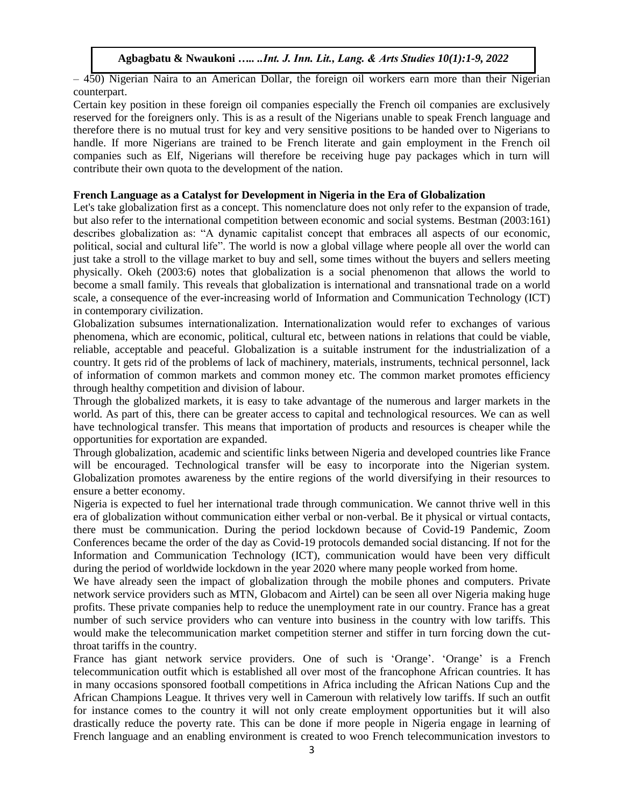– 450) Nigerian Naira to an American Dollar, the foreign oil workers earn more than their Nigerian counterpart.

Certain key position in these foreign oil companies especially the French oil companies are exclusively reserved for the foreigners only. This is as a result of the Nigerians unable to speak French language and therefore there is no mutual trust for key and very sensitive positions to be handed over to Nigerians to handle. If more Nigerians are trained to be French literate and gain employment in the French oil companies such as Elf, Nigerians will therefore be receiving huge pay packages which in turn will contribute their own quota to the development of the nation.

## **French Language as a Catalyst for Development in Nigeria in the Era of Globalization**

Let's take globalization first as a concept. This nomenclature does not only refer to the expansion of trade, but also refer to the international competition between economic and social systems. Bestman (2003:161) describes globalization as: "A dynamic capitalist concept that embraces all aspects of our economic, political, social and cultural life". The world is now a global village where people all over the world can just take a stroll to the village market to buy and sell, some times without the buyers and sellers meeting physically. Okeh (2003:6) notes that globalization is a social phenomenon that allows the world to become a small family. This reveals that globalization is international and transnational trade on a world scale, a consequence of the ever-increasing world of Information and Communication Technology (ICT) in contemporary civilization.

Globalization subsumes internationalization. Internationalization would refer to exchanges of various phenomena, which are economic, political, cultural etc, between nations in relations that could be viable, reliable, acceptable and peaceful. Globalization is a suitable instrument for the industrialization of a country. It gets rid of the problems of lack of machinery, materials, instruments, technical personnel, lack of information of common markets and common money etc. The common market promotes efficiency through healthy competition and division of labour.

Through the globalized markets, it is easy to take advantage of the numerous and larger markets in the world. As part of this, there can be greater access to capital and technological resources. We can as well have technological transfer. This means that importation of products and resources is cheaper while the opportunities for exportation are expanded.

Through globalization, academic and scientific links between Nigeria and developed countries like France will be encouraged. Technological transfer will be easy to incorporate into the Nigerian system. Globalization promotes awareness by the entire regions of the world diversifying in their resources to ensure a better economy.

Nigeria is expected to fuel her international trade through communication. We cannot thrive well in this era of globalization without communication either verbal or non-verbal. Be it physical or virtual contacts, there must be communication. During the period lockdown because of Covid-19 Pandemic, Zoom Conferences became the order of the day as Covid-19 protocols demanded social distancing. If not for the Information and Communication Technology (ICT), communication would have been very difficult during the period of worldwide lockdown in the year 2020 where many people worked from home.

We have already seen the impact of globalization through the mobile phones and computers. Private network service providers such as MTN, Globacom and Airtel) can be seen all over Nigeria making huge profits. These private companies help to reduce the unemployment rate in our country. France has a great number of such service providers who can venture into business in the country with low tariffs. This would make the telecommunication market competition sterner and stiffer in turn forcing down the cutthroat tariffs in the country.

France has giant network service providers. One of such is 'Orange'. 'Orange' is a French telecommunication outfit which is established all over most of the francophone African countries. It has in many occasions sponsored football competitions in Africa including the African Nations Cup and the African Champions League. It thrives very well in Cameroun with relatively low tariffs. If such an outfit for instance comes to the country it will not only create employment opportunities but it will also drastically reduce the poverty rate. This can be done if more people in Nigeria engage in learning of French language and an enabling environment is created to woo French telecommunication investors to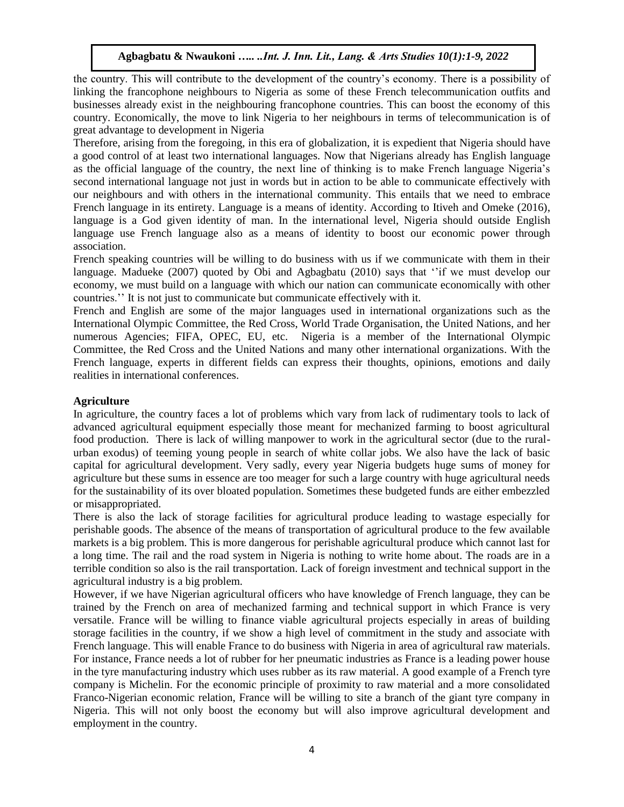the country. This will contribute to the development of the country's economy. There is a possibility of linking the francophone neighbours to Nigeria as some of these French telecommunication outfits and businesses already exist in the neighbouring francophone countries. This can boost the economy of this country. Economically, the move to link Nigeria to her neighbours in terms of telecommunication is of great advantage to development in Nigeria

Therefore, arising from the foregoing, in this era of globalization, it is expedient that Nigeria should have a good control of at least two international languages. Now that Nigerians already has English language as the official language of the country, the next line of thinking is to make French language Nigeria's second international language not just in words but in action to be able to communicate effectively with our neighbours and with others in the international community. This entails that we need to embrace French language in its entirety. Language is a means of identity. According to Itiveh and Omeke (2016), language is a God given identity of man. In the international level, Nigeria should outside English language use French language also as a means of identity to boost our economic power through association.

French speaking countries will be willing to do business with us if we communicate with them in their language. Madueke (2007) quoted by Obi and Agbagbatu (2010) says that ''if we must develop our economy, we must build on a language with which our nation can communicate economically with other countries.'' It is not just to communicate but communicate effectively with it.

French and English are some of the major languages used in international organizations such as the International Olympic Committee, the Red Cross, World Trade Organisation, the United Nations, and her numerous Agencies; FIFA, OPEC, EU, etc. Nigeria is a member of the International Olympic Committee, the Red Cross and the United Nations and many other international organizations. With the French language, experts in different fields can express their thoughts, opinions, emotions and daily realities in international conferences.

## **Agriculture**

In agriculture, the country faces a lot of problems which vary from lack of rudimentary tools to lack of advanced agricultural equipment especially those meant for mechanized farming to boost agricultural food production. There is lack of willing manpower to work in the agricultural sector (due to the ruralurban exodus) of teeming young people in search of white collar jobs. We also have the lack of basic capital for agricultural development. Very sadly, every year Nigeria budgets huge sums of money for agriculture but these sums in essence are too meager for such a large country with huge agricultural needs for the sustainability of its over bloated population. Sometimes these budgeted funds are either embezzled or misappropriated.

There is also the lack of storage facilities for agricultural produce leading to wastage especially for perishable goods. The absence of the means of transportation of agricultural produce to the few available markets is a big problem. This is more dangerous for perishable agricultural produce which cannot last for a long time. The rail and the road system in Nigeria is nothing to write home about. The roads are in a terrible condition so also is the rail transportation. Lack of foreign investment and technical support in the agricultural industry is a big problem.

However, if we have Nigerian agricultural officers who have knowledge of French language, they can be trained by the French on area of mechanized farming and technical support in which France is very versatile. France will be willing to finance viable agricultural projects especially in areas of building storage facilities in the country, if we show a high level of commitment in the study and associate with French language. This will enable France to do business with Nigeria in area of agricultural raw materials. For instance, France needs a lot of rubber for her pneumatic industries as France is a leading power house in the tyre manufacturing industry which uses rubber as its raw material. A good example of a French tyre company is Michelin. For the economic principle of proximity to raw material and a more consolidated Franco-Nigerian economic relation, France will be willing to site a branch of the giant tyre company in Nigeria. This will not only boost the economy but will also improve agricultural development and employment in the country.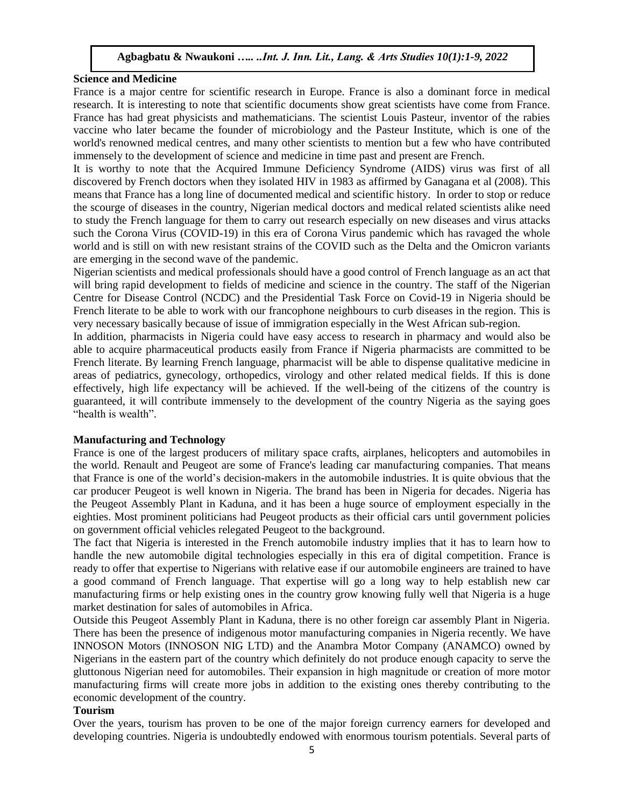#### **Science and Medicine**

France is a major centre for scientific research in Europe. France is also a dominant force in medical research. It is interesting to note that scientific documents show great scientists have come from France. France has had great physicists and mathematicians. The scientist Louis Pasteur, inventor of the rabies vaccine who later became the founder of microbiology and the Pasteur Institute, which is one of the world's renowned medical centres, and many other scientists to mention but a few who have contributed immensely to the development of science and medicine in time past and present are French.

It is worthy to note that the Acquired Immune Deficiency Syndrome (AIDS) virus was first of all discovered by French doctors when they isolated HIV in 1983 as affirmed by Ganagana et al (2008). This means that France has a long line of documented medical and scientific history. In order to stop or reduce the scourge of diseases in the country, Nigerian medical doctors and medical related scientists alike need to study the French language for them to carry out research especially on new diseases and virus attacks such the Corona Virus (COVID-19) in this era of Corona Virus pandemic which has ravaged the whole world and is still on with new resistant strains of the COVID such as the Delta and the Omicron variants are emerging in the second wave of the pandemic.

Nigerian scientists and medical professionals should have a good control of French language as an act that will bring rapid development to fields of medicine and science in the country. The staff of the Nigerian Centre for Disease Control (NCDC) and the Presidential Task Force on Covid-19 in Nigeria should be French literate to be able to work with our francophone neighbours to curb diseases in the region. This is very necessary basically because of issue of immigration especially in the West African sub-region.

In addition, pharmacists in Nigeria could have easy access to research in pharmacy and would also be able to acquire pharmaceutical products easily from France if Nigeria pharmacists are committed to be French literate. By learning French language, pharmacist will be able to dispense qualitative medicine in areas of pediatrics, gynecology, orthopedics, virology and other related medical fields. If this is done effectively, high life expectancy will be achieved. If the well-being of the citizens of the country is guaranteed, it will contribute immensely to the development of the country Nigeria as the saying goes "health is wealth".

#### **Manufacturing and Technology**

France is one of the largest producers of military space crafts, airplanes, helicopters and automobiles in the world. Renault and Peugeot are some of France's leading car manufacturing companies. That means that France is one of the world's decision-makers in the automobile industries. It is quite obvious that the car producer Peugeot is well known in Nigeria. The brand has been in Nigeria for decades. Nigeria has the Peugeot Assembly Plant in Kaduna, and it has been a huge source of employment especially in the eighties. Most prominent politicians had Peugeot products as their official cars until government policies on government official vehicles relegated Peugeot to the background.

The fact that Nigeria is interested in the French automobile industry implies that it has to learn how to handle the new automobile digital technologies especially in this era of digital competition. France is ready to offer that expertise to Nigerians with relative ease if our automobile engineers are trained to have a good command of French language. That expertise will go a long way to help establish new car manufacturing firms or help existing ones in the country grow knowing fully well that Nigeria is a huge market destination for sales of automobiles in Africa.

Outside this Peugeot Assembly Plant in Kaduna, there is no other foreign car assembly Plant in Nigeria. There has been the presence of indigenous motor manufacturing companies in Nigeria recently. We have INNOSON Motors (INNOSON NIG LTD) and the Anambra Motor Company (ANAMCO) owned by Nigerians in the eastern part of the country which definitely do not produce enough capacity to serve the gluttonous Nigerian need for automobiles. Their expansion in high magnitude or creation of more motor manufacturing firms will create more jobs in addition to the existing ones thereby contributing to the economic development of the country.

#### **Tourism**

Over the years, tourism has proven to be one of the major foreign currency earners for developed and developing countries. Nigeria is undoubtedly endowed with enormous tourism potentials. Several parts of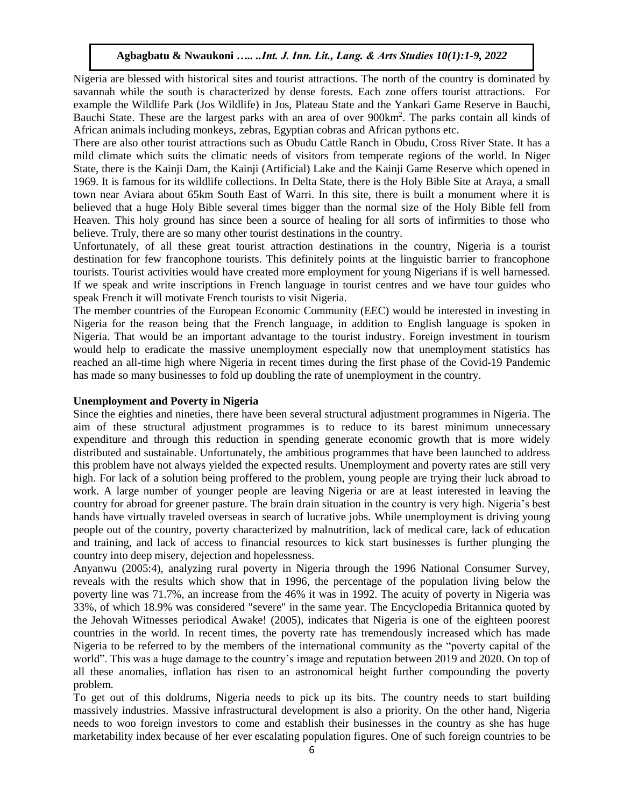Nigeria are blessed with historical sites and tourist attractions. The north of the country is dominated by savannah while the south is characterized by dense forests. Each zone offers tourist attractions. For example the Wildlife Park (Jos Wildlife) in Jos, Plateau State and the Yankari Game Reserve in Bauchi, Bauchi State. These are the largest parks with an area of over 900km<sup>2</sup>. The parks contain all kinds of African animals including monkeys, zebras, Egyptian cobras and African pythons etc.

There are also other tourist attractions such as Obudu Cattle Ranch in Obudu, Cross River State. It has a mild climate which suits the climatic needs of visitors from temperate regions of the world. In Niger State, there is the Kainji Dam, the Kainji (Artificial) Lake and the Kainji Game Reserve which opened in 1969. It is famous for its wildlife collections. In Delta State, there is the Holy Bible Site at Araya, a small town near Aviara about 65km South East of Warri. In this site, there is built a monument where it is believed that a huge Holy Bible several times bigger than the normal size of the Holy Bible fell from Heaven. This holy ground has since been a source of healing for all sorts of infirmities to those who believe. Truly, there are so many other tourist destinations in the country.

Unfortunately, of all these great tourist attraction destinations in the country, Nigeria is a tourist destination for few francophone tourists. This definitely points at the linguistic barrier to francophone tourists. Tourist activities would have created more employment for young Nigerians if is well harnessed. If we speak and write inscriptions in French language in tourist centres and we have tour guides who speak French it will motivate French tourists to visit Nigeria.

The member countries of the European Economic Community (EEC) would be interested in investing in Nigeria for the reason being that the French language, in addition to English language is spoken in Nigeria. That would be an important advantage to the tourist industry. Foreign investment in tourism would help to eradicate the massive unemployment especially now that unemployment statistics has reached an all-time high where Nigeria in recent times during the first phase of the Covid-19 Pandemic has made so many businesses to fold up doubling the rate of unemployment in the country.

#### **Unemployment and Poverty in Nigeria**

Since the eighties and nineties, there have been several structural adjustment programmes in Nigeria. The aim of these structural adjustment programmes is to reduce to its barest minimum unnecessary expenditure and through this reduction in spending generate economic growth that is more widely distributed and sustainable. Unfortunately, the ambitious programmes that have been launched to address this problem have not always yielded the expected results. Unemployment and poverty rates are still very high. For lack of a solution being proffered to the problem, young people are trying their luck abroad to work. A large number of younger people are leaving Nigeria or are at least interested in leaving the country for abroad for greener pasture. The brain drain situation in the country is very high. Nigeria's best hands have virtually traveled overseas in search of lucrative jobs. While unemployment is driving young people out of the country, poverty characterized by malnutrition, lack of medical care, lack of education and training, and lack of access to financial resources to kick start businesses is further plunging the country into deep misery, dejection and hopelessness.

Anyanwu (2005:4), analyzing rural poverty in Nigeria through the 1996 National Consumer Survey, reveals with the results which show that in 1996, the percentage of the population living below the poverty line was 71.7%, an increase from the 46% it was in 1992. The acuity of poverty in Nigeria was 33%, of which 18.9% was considered "severe" in the same year. The Encyclopedia Britannica quoted by the Jehovah Witnesses periodical Awake! (2005), indicates that Nigeria is one of the eighteen poorest countries in the world. In recent times, the poverty rate has tremendously increased which has made Nigeria to be referred to by the members of the international community as the "poverty capital of the world". This was a huge damage to the country's image and reputation between 2019 and 2020. On top of all these anomalies, inflation has risen to an astronomical height further compounding the poverty problem.

To get out of this doldrums, Nigeria needs to pick up its bits. The country needs to start building massively industries. Massive infrastructural development is also a priority. On the other hand, Nigeria needs to woo foreign investors to come and establish their businesses in the country as she has huge marketability index because of her ever escalating population figures. One of such foreign countries to be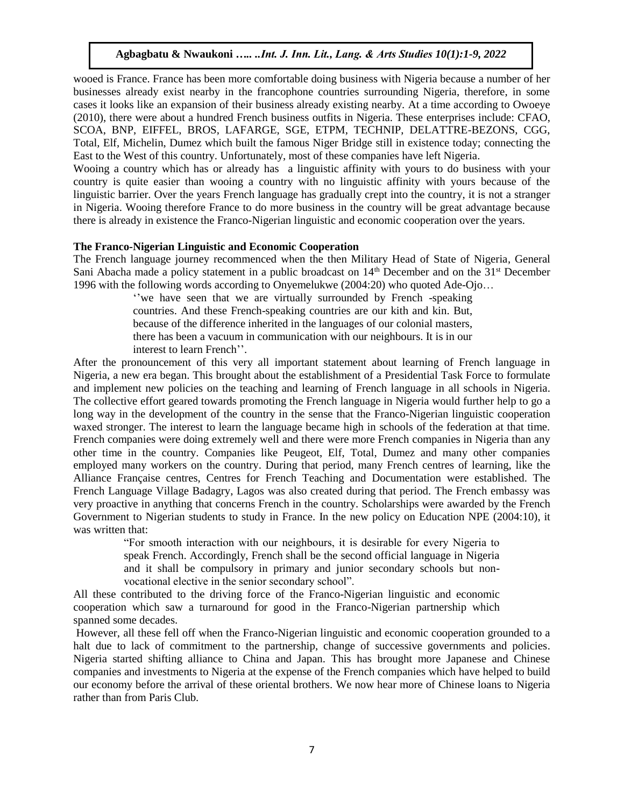wooed is France. France has been more comfortable doing business with Nigeria because a number of her businesses already exist nearby in the francophone countries surrounding Nigeria, therefore, in some cases it looks like an expansion of their business already existing nearby. At a time according to Owoeye (2010), there were about a hundred French business outfits in Nigeria. These enterprises include: CFAO, SCOA, BNP, EIFFEL, BROS, LAFARGE, SGE, ETPM, TECHNIP, DELATTRE-BEZONS, CGG, Total, Elf, Michelin, Dumez which built the famous Niger Bridge still in existence today; connecting the East to the West of this country. Unfortunately, most of these companies have left Nigeria.

Wooing a country which has or already has a linguistic affinity with yours to do business with your country is quite easier than wooing a country with no linguistic affinity with yours because of the linguistic barrier. Over the years French language has gradually crept into the country, it is not a stranger in Nigeria. Wooing therefore France to do more business in the country will be great advantage because there is already in existence the Franco-Nigerian linguistic and economic cooperation over the years.

## **The Franco-Nigerian Linguistic and Economic Cooperation**

The French language journey recommenced when the then Military Head of State of Nigeria, General Sani Abacha made a policy statement in a public broadcast on  $14<sup>th</sup>$  December and on the  $31<sup>st</sup>$  December 1996 with the following words according to Onyemelukwe (2004:20) who quoted Ade-Ojo…

''we have seen that we are virtually surrounded by French -speaking countries. And these French-speaking countries are our kith and kin. But, because of the difference inherited in the languages of our colonial masters, there has been a vacuum in communication with our neighbours. It is in our interest to learn French''.

After the pronouncement of this very all important statement about learning of French language in Nigeria, a new era began. This brought about the establishment of a Presidential Task Force to formulate and implement new policies on the teaching and learning of French language in all schools in Nigeria. The collective effort geared towards promoting the French language in Nigeria would further help to go a long way in the development of the country in the sense that the Franco-Nigerian linguistic cooperation waxed stronger. The interest to learn the language became high in schools of the federation at that time. French companies were doing extremely well and there were more French companies in Nigeria than any other time in the country. Companies like Peugeot, Elf, Total, Dumez and many other companies employed many workers on the country. During that period, many French centres of learning, like the Alliance Française centres, Centres for French Teaching and Documentation were established. The French Language Village Badagry, Lagos was also created during that period. The French embassy was very proactive in anything that concerns French in the country. Scholarships were awarded by the French Government to Nigerian students to study in France. In the new policy on Education NPE (2004:10), it was written that:

> "For smooth interaction with our neighbours, it is desirable for every Nigeria to speak French. Accordingly, French shall be the second official language in Nigeria and it shall be compulsory in primary and junior secondary schools but nonvocational elective in the senior secondary school".

All these contributed to the driving force of the Franco-Nigerian linguistic and economic cooperation which saw a turnaround for good in the Franco-Nigerian partnership which spanned some decades.

However, all these fell off when the Franco-Nigerian linguistic and economic cooperation grounded to a halt due to lack of commitment to the partnership, change of successive governments and policies. Nigeria started shifting alliance to China and Japan. This has brought more Japanese and Chinese companies and investments to Nigeria at the expense of the French companies which have helped to build our economy before the arrival of these oriental brothers. We now hear more of Chinese loans to Nigeria rather than from Paris Club.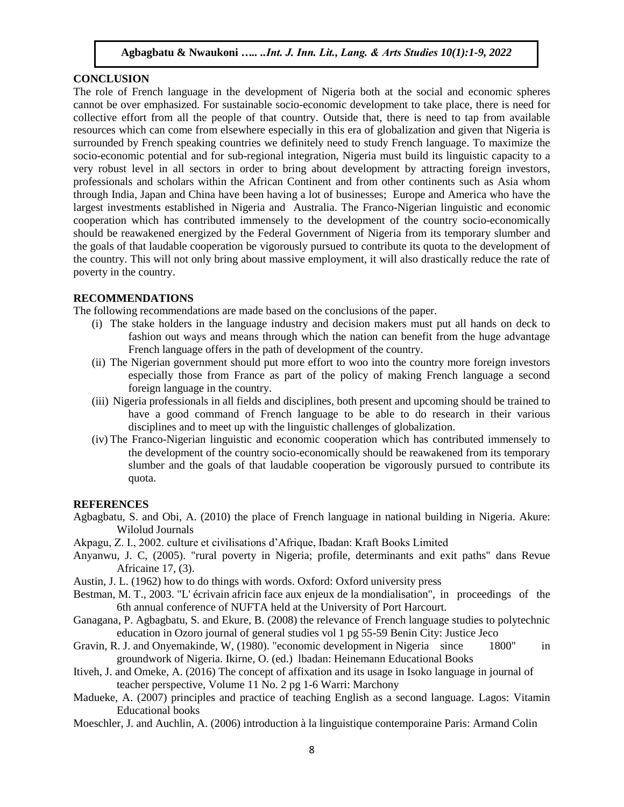#### **CONCLUSION**

The role of French language in the development of Nigeria both at the social and economic spheres cannot be over emphasized. For sustainable socio-economic development to take place, there is need for collective effort from all the people of that country. Outside that, there is need to tap from available resources which can come from elsewhere especially in this era of globalization and given that Nigeria is surrounded by French speaking countries we definitely need to study French language. To maximize the socio-economic potential and for sub-regional integration, Nigeria must build its linguistic capacity to a very robust level in all sectors in order to bring about development by attracting foreign investors, professionals and scholars within the African Continent and from other continents such as Asia whom through India, Japan and China have been having a lot of businesses; Europe and America who have the largest investments established in Nigeria and Australia. The Franco-Nigerian linguistic and economic cooperation which has contributed immensely to the development of the country socio-economically should be reawakened energized by the Federal Government of Nigeria from its temporary slumber and the goals of that laudable cooperation be vigorously pursued to contribute its quota to the development of the country. This will not only bring about massive employment, it will also drastically reduce the rate of poverty in the country.

#### **RECOMMENDATIONS**

The following recommendations are made based on the conclusions of the paper.

- (i) The stake holders in the language industry and decision makers must put all hands on deck to fashion out ways and means through which the nation can benefit from the huge advantage French language offers in the path of development of the country.
- (ii) The Nigerian government should put more effort to woo into the country more foreign investors especially those from France as part of the policy of making French language a second foreign language in the country.
- (iii) Nigeria professionals in all fields and disciplines, both present and upcoming should be trained to have a good command of French language to be able to do research in their various disciplines and to meet up with the linguistic challenges of globalization.
- (iv) The Franco-Nigerian linguistic and economic cooperation which has contributed immensely to the development of the country socio-economically should be reawakened from its temporary slumber and the goals of that laudable cooperation be vigorously pursued to contribute its quota.

#### **REFERENCES**

- Agbagbatu, S. and Obi, A. (2010) the place of French language in national building in Nigeria. Akure: Wilolud Journals
- Akpagu, Z. I., 2002. culture et civilisations d'Afrique, Ibadan: Kraft Books Limited
- Anyanwu, J. C, (2005). "rural poverty in Nigeria; profile, determinants and exit paths" dans Revue Africaine 17, (3).
- Austin, J. L. (1962) how to do things with words. Oxford: Oxford university press
- Bestman, M. T., 2003. "L' écrivain africin face aux enjeux de la mondialisation", in proceedings of the 6th annual conference of NUFTA held at the University of Port Harcourt.
- Ganagana, P. Agbagbatu, S. and Ekure, B. (2008) the relevance of French language studies to polytechnic education in Ozoro journal of general studies vol 1 pg 55-59 Benin City: Justice Jeco
- Gravin, R. J. and Onyemakinde, W, (1980). "economic development in Nigeria since 1800" in groundwork of Nigeria. Ikirne, O. (ed.) lbadan: Heinemann Educational Books
- Itiveh, J. and Omeke, A. (2016) The concept of affixation and its usage in Isoko language in journal of teacher perspective, Volume 11 No. 2 pg 1-6 Warri: Marchony
- Madueke, A. (2007) principles and practice of teaching English as a second language. Lagos: Vitamin Educational books
- Moeschler, J. and Auchlin, A. (2006) introduction à la linguistique contemporaine Paris: Armand Colin